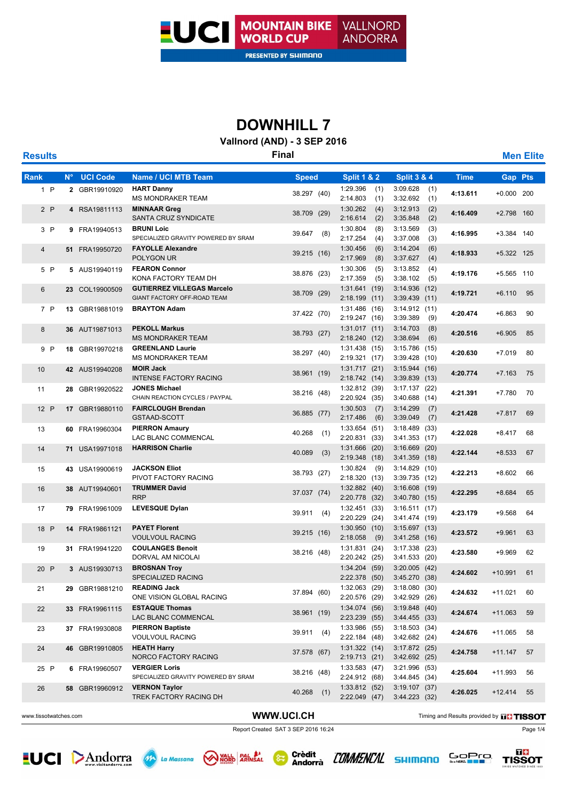

### **Vallnord (AND) - 3 SEP 2016**

| <b>Results</b> |             | <b>Final</b>    |                                                                  |               |                                    |                                                |             |                |    |
|----------------|-------------|-----------------|------------------------------------------------------------------|---------------|------------------------------------|------------------------------------------------|-------------|----------------|----|
| Rank           | $N^{\circ}$ | <b>UCI Code</b> | <b>Name / UCI MTB Team</b>                                       | <b>Speed</b>  | <b>Split 1 &amp; 2</b>             | <b>Split 3 &amp; 4</b>                         | <b>Time</b> | <b>Gap Pts</b> |    |
| 1 P            |             | 2 GBR19910920   | <b>HART Danny</b><br><b>MS MONDRAKER TEAM</b>                    | 38.297 (40)   | 1:29.396<br>(1)<br>2:14.803<br>(1) | 3:09.628<br>(1)<br>3:32.692<br>(1)             | 4:13.611    | $+0.000$ 200   |    |
| 2P             |             | 4 RSA19811113   | <b>MINNAAR Greg</b><br>SANTA CRUZ SYNDICATE                      | 38.709 (29)   | 1:30.262<br>(4)<br>2:16.614<br>(2) | 3:12.913<br>(2)<br>3:35.848<br>(2)             | 4:16.409    | +2.798 160     |    |
| 3P             |             | 9 FRA19940513   | <b>BRUNI Loic</b><br>SPECIALIZED GRAVITY POWERED BY SRAM         | 39.647<br>(8) | 1:30.804<br>(8)<br>2:17.254<br>(4) | 3:13.569<br>(3)<br>3:37.008<br>(3)             | 4:16.995    | +3.384 140     |    |
| 4              |             | 51 FRA19950720  | <b>FAYOLLE Alexandre</b><br>POLYGON UR                           | 39.215 (16)   | 1:30.456<br>(6)<br>2:17.969<br>(8) | 3:14.204<br>(6)<br>3:37.627<br>(4)             | 4:18.933    | +5.322 125     |    |
| 5 P            |             | 5 AUS19940119   | <b>FEARON Connor</b><br>KONA FACTORY TEAM DH                     | 38.876 (23)   | 1:30.306<br>(5)<br>2:17.359<br>(5) | 3:13.852<br>(4)<br>3:38.102<br>(5)             | 4:19.176    | +5.565 110     |    |
| 6              |             | 23 COL19900509  | <b>GUTIERREZ VILLEGAS Marcelo</b><br>GIANT FACTORY OFF-ROAD TEAM | 38.709 (29)   | 1:31.641(19)<br>2:18.199<br>(11)   | 3:14.936(12)<br>$3:39.439$ (11)                | 4:19.721    | $+6.110$       | 95 |
| 7 P            |             | 13 GBR19881019  | <b>BRAYTON Adam</b>                                              | 37.422 (70)   | 1:31.486(16)<br>2:19.247 (16)      | 3:14.912(11)<br>3:39.389<br>(9)                | 4:20.474    | $+6.863$       | 90 |
| 8              |             | 36 AUT19871013  | <b>PEKOLL Markus</b><br><b>MS MONDRAKER TEAM</b>                 | 38.793 (27)   | 1:31.017(11)<br>2:18.240<br>(12)   | 3:14.703<br>(8)<br>3:38.694<br>(6)             | 4:20.516    | $+6.905$       | 85 |
| 9 P            |             | 18 GBR19970218  | <b>GREENLAND Laurie</b><br><b>MS MONDRAKER TEAM</b>              | 38.297 (40)   | 1:31.438(15)<br>2:19.321 (17)      | 3:15.786 (15)<br>3:39.428 (10)                 | 4:20.630    | $+7.019$       | 80 |
| 10             |             | 42 AUS19940208  | <b>MOIR Jack</b><br><b>INTENSE FACTORY RACING</b>                | 38.961 (19)   | 1:31.717(21)<br>2:18.742 (14)      | 3:15.944(16)<br>3:39.839(13)                   | 4:20.774    | $+7.163$       | 75 |
| 11             |             | 28 GBR19920522  | <b>JONES Michael</b><br>CHAIN REACTION CYCLES / PAYPAL           | 38.216 (48)   | 1:32.812(39)<br>2:20.924 (35)      | 3:17.137(22)<br>$3:40.688$ (14)                | 4:21.391    | $+7.780$       | 70 |
| 12 P           |             | 17 GBR19880110  | <b>FAIRCLOUGH Brendan</b><br>GSTAAD-SCOTT                        | 36.885 (77)   | 1:30.503<br>(7)<br>2:17.486<br>(6) | 3:14.299<br>(7)<br>3:39.049<br>(7)             | 4:21.428    | $+7.817$       | 69 |
| 13             |             | 60 FRA19960304  | <b>PIERRON Amaury</b><br>LAC BLANC COMMENCAL                     | 40.268<br>(1) | 1:33.654(51)<br>2:20.831 (33)      | 3:18.489 (33)<br>3:41.353(17)                  | 4:22.028    | $+8.417$       | 68 |
| 14             |             | 71 USA19971018  | <b>HARRISON Charlie</b>                                          | 40.089<br>(3) | 1:31.666(20)<br>2:19.348<br>(18)   | $3:16.669$ (20)<br>3:41.359(18)                | 4:22.144    | $+8.533$       | 67 |
| 15             |             | 43 USA19900619  | <b>JACKSON Eliot</b><br>PIVOT FACTORY RACING                     | 38.793 (27)   | 1:30.824<br>(9)<br>2:18.320 (13)   | 3:14.829(10)<br>3:39.735 (12)                  | 4:22.213    | $+8.602$       | 66 |
| 16             |             | 38 AUT19940601  | <b>TRUMMER David</b><br><b>RRP</b>                               | 37.037 (74)   | 1:32.882 (40)<br>2:20.778<br>(32)  | 3:16.608(19)<br>3:40.780(15)                   | 4:22.295    | $+8.684$       | 65 |
| 17             |             | 79 FRA19961009  | <b>LEVESQUE Dylan</b>                                            | 39.911<br>(4) | 1:32.451(33)<br>2:20.229 (24)      | 3:16.511(17)<br>3:41.474 (19)                  | 4:23.179    | $+9.568$       | 64 |
| 18 P           |             | 14 FRA19861121  | <b>PAYET Florent</b><br><b>VOULVOUL RACING</b>                   | 39.215 (16)   | 1:30.950(10)<br>2:18.058<br>(9)    | 3:15.697(13)<br>3:41.258(16)                   | 4:23.572    | $+9.961$       | 63 |
| 19             |             | 31 FRA19941220  | <b>COULANGES Benoit</b><br>DORVAL AM NICOLAI                     | 38.216 (48)   | 1:31.831(24)<br>2:20.242<br>(25)   | $3:17.338$ (23)<br>3:41.533(20)                | 4:23.580    | $+9.969$       | 62 |
| 20 P           |             | 3 AUS19930713   | <b>BROSNAN Troy</b><br>SPECIALIZED RACING                        |               | $1:34.204$ (59)                    | $3:20.005$ (42)<br>2:22.378 (50) 3:45.270 (38) | 4:24.602    | $+10.991$      | 61 |
| 21             |             | 29 GBR19881210  | <b>READING Jack</b><br>ONE VISION GLOBAL RACING                  | 37.894 (60)   | $1:32.063$ (29)<br>2:20.576 (29)   | 3:18.080(30)<br>3:42.929 (26)                  | 4:24.632    | $+11.021$      | 60 |
| 22             |             | 33 FRA19961115  | <b>ESTAQUE Thomas</b><br>LAC BLANC COMMENCAL                     | 38.961 (19)   | 1:34.074 (56)<br>2:23.239 (55)     | 3:19.848 (40)<br>$3:44.455$ (33)               | 4:24.674    | $+11.063$      | 59 |
| 23             |             | 37 FRA19930808  | <b>PIERRON Baptiste</b><br><b>VOULVOUL RACING</b>                | 39.911 (4)    | 1:33.986 (55)<br>2:22.184 (48)     | 3:18.503(34)<br>3:42.682 (24)                  | 4:24.676    | $+11.065$      | 58 |
| 24             |             | 46 GBR19910805  | <b>HEATH Harry</b><br>NORCO FACTORY RACING                       | 37.578 (67)   | 1:31.322(14)<br>2:19.713 (21)      | 3:17.872(25)<br>3:42.692 (25)                  | 4:24.758    | $+11.147$      | 57 |
| 25 P           |             | 6 FRA19960507   | <b>VERGIER Loris</b><br>SPECIALIZED GRAVITY POWERED BY SRAM      | 38.216 (48)   | 1:33.583(47)<br>2:24.912 (68)      | 3:21.996 (53)<br>3:44.845(34)                  | 4:25.604    | $+11.993$      | 56 |
| 26             |             | 58 GBR19960912  | <b>VERNON Taylor</b><br>TREK FACTORY RACING DH                   | 40.268<br>(1) | 1:33.812 (52)<br>2:22.049(47)      | 3:19.107(37)<br>3:44.223 (32)                  | 4:26.025    | $+12.414$      | 55 |
|                |             |                 |                                                                  |               |                                    |                                                |             |                |    |

( 8∓

WWW.UCI.CH Timing and Results provided by **The TISSOT** 

Report Created SAT 3 SEP 2016 16:24 Page 1/4









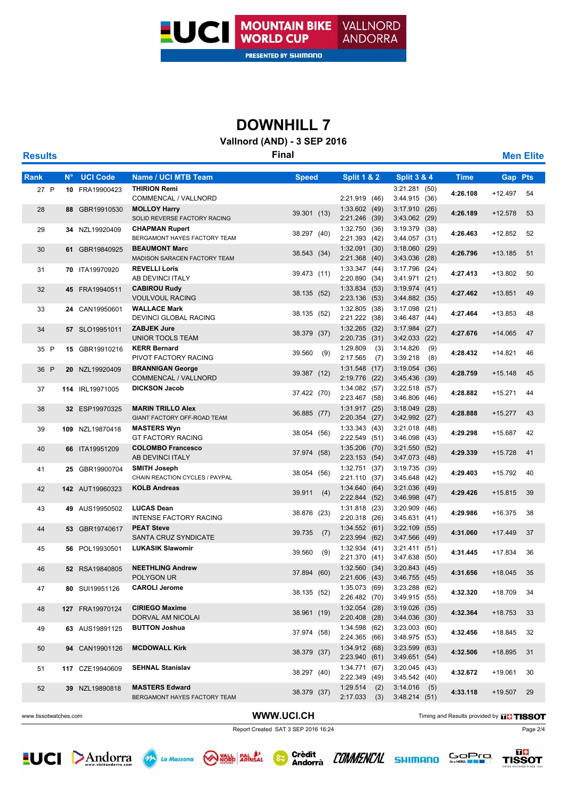

### **Vallnord (AND) - 3 SEP 2016**

| <b>Results</b> |             |                 |                                                         | <b>Final</b>  |                                    |                                    |             |                | <b>Men Elite</b> |
|----------------|-------------|-----------------|---------------------------------------------------------|---------------|------------------------------------|------------------------------------|-------------|----------------|------------------|
| Rank           | $N^{\circ}$ | <b>UCI Code</b> | <b>Name / UCI MTB Team</b>                              | <b>Speed</b>  | <b>Split 1 &amp; 2</b>             | <b>Split 3 &amp; 4</b>             | <b>Time</b> | <b>Gap Pts</b> |                  |
| 27 P           |             | 10 FRA19900423  | <b>THIRION Remi</b><br>COMMENCAL / VALLNORD             |               | 2:21.919 (46)                      | $3:21.281$ (50)<br>3:44.915(36)    | 4:26.108    | +12.497        | 54               |
| 28             |             | 88 GBR19910530  | <b>MOLLOY Harry</b><br>SOLID REVERSE FACTORY RACING     | 39.301 (13)   | 1:33.602(49)<br>2:21.246 (39)      | 3:17.910(26)<br>3:43.062 (29)      | 4:26.189    | $+12.578$      | 53               |
| 29             |             | 34 NZL19920409  | <b>CHAPMAN Rupert</b><br>BERGAMONT HAYES FACTORY TEAM   | 38.297 (40)   | 1:32.750 (36)<br>2:21.393 (42)     | 3:19.379 (38)<br>3:44.057(31)      | 4:26.463    | +12.852        | 52               |
| 30             |             | 61 GBR19840925  | <b>BEAUMONT Marc</b><br>MADISON SARACEN FACTORY TEAM    | 38.543 (34)   | 1:32.091(30)<br>2:21.368 (40)      | 3:18.060(29)<br>3:43.036 (28)      | 4:26.796    | $+13.185$      | 51               |
| 31             |             | 70 ITA19970920  | <b>REVELLI Loris</b><br>AB DEVINCI ITALY                | 39.473 (11)   | 1:33.347(44)<br>2:20.890 (34)      | 3:17.796 (24)<br>3:41.971 (21)     | 4:27.413    | +13.802        | 50               |
| 32             |             | 45 FRA19940511  | <b>CABIROU Rudy</b><br><b>VOULVOUL RACING</b>           | 38.135 (52)   | 1:33.834(53)<br>2:23.136<br>(53)   | 3:19.974(41)<br>3:44.882 (35)      | 4:27.462    | $+13.851$      | 49               |
| 33             |             | 24 CAN19950601  | <b>WALLACE Mark</b><br>DEVINCI GLOBAL RACING            | 38.135 (52)   | 1:32.805 (38)<br>2:21.222 (38)     | $3:17.098$ (21)<br>3:46.487(44)    | 4:27.464    | +13.853        | 48               |
| 34             |             | 57 SLO19951011  | <b>ZABJEK Jure</b><br><b>UNIOR TOOLS TEAM</b>           | 38.379 (37)   | 1:32.265 (32)<br>2:20.735<br>(31)  | 3:17.984(27)<br>$3:42.033$ (22)    | 4:27.676    | $+14.065$      | 47               |
| 35 P           |             | 15 GBR19910216  | <b>KERR Bernard</b><br>PIVOT FACTORY RACING             | 39.560<br>(9) | 1:29.809<br>(3)<br>2:17.565<br>(7) | 3:14.826<br>(9)<br>3:39.218<br>(8) | 4:28.432    | $+14.821$      | 46               |
| 36 P           |             | 20 NZL19920409  | <b>BRANNIGAN George</b><br>COMMENCAL / VALLNORD         | 39.387 (12)   | 1:31.548 (17)<br>2:19.776<br>(22)  | 3:19.054(36)<br>3:45.436 (39)      | 4:28.759    | $+15.148$      | 45               |
| 37             |             | 114 IRL19971005 | <b>DICKSON Jacob</b>                                    | 37.422 (70)   | 1:34.082 (57)<br>2:23.467 (58)     | $3:22.518$ (57)<br>$3:46.806$ (46) | 4:28.882    | $+15.271$      | 44               |
| 38             |             | 32 ESP19970325  | <b>MARIN TRILLO Alex</b><br>GIANT FACTORY OFF-ROAD TEAM | 36.885 (77)   | 1:31.917(25)<br>2:20.354 (27)      | $3:18.049$ (28)<br>3:42.992 (27)   | 4:28.888    | $+15.277$      | 43               |
| 39             |             | 109 NZL19870418 | <b>MASTERS Wyn</b><br><b>GT FACTORY RACING</b>          | 38.054 (56)   | 1:33.343(43)<br>2:22.549 (51)      | $3:21.018$ (48)<br>3:46.098(43)    | 4:29.298    | +15.687        | 42               |
| 40             |             | 66 ITA19951209  | <b>COLOMBO Francesco</b><br>AB DEVINCI ITALY            | 37.974 (58)   | 1:35.206 (70)<br>2:23.153 (54)     | 3:21.550(52)<br>3:47.073 (48)      | 4:29.339    | $+15.728$      | 41               |
| 41             |             | 25 GBR19900704  | <b>SMITH Joseph</b><br>CHAIN REACTION CYCLES / PAYPAL   | 38.054 (56)   | $1:32.751$ (37)<br>2:21.110 (37)   | 3:19.735 (39)<br>3:45.648(42)      | 4:29.403    | +15.792        | 40               |
| 42             |             | 142 AUT19960323 | <b>KOLB Andreas</b>                                     | 39.911<br>(4) | 1:34.640(64)<br>2:22.844 (52)      | $3:21.036$ (49)<br>$3:46.998$ (47) | 4:29.426    | $+15.815$      | 39               |
| 43             |             | 49 AUS19950502  | <b>LUCAS Dean</b><br><b>INTENSE FACTORY RACING</b>      | 38.876 (23)   | $1:31.818$ (23)<br>2:20.318 (26)   | $3:20.909$ (46)<br>3:45.631(41)    | 4:29.986    | +16.375        | 38               |
| 44             |             | 53 GBR19740617  | <b>PEAT Steve</b><br>SANTA CRUZ SYNDICATE               | 39.735<br>(7) | 1:34.552(61)<br>2:23.994 (62)      | $3:22.109$ (55)<br>3:47.566 (49)   | 4:31.060    | $+17.449$      | 37               |
| 45             |             | 56 POL19930501  | <b>LUKASIK Slawomir</b>                                 | 39.560<br>(9) | 1:32.934 (41)<br>2:21.370 (41)     | 3:21.411(51)<br>3:47.638 (50)      | 4:31.445    | $+17.834$      | 36               |
| 46             |             | 52 RSA19840805  | <b>NEETHLING Andrew</b><br>POLYGON UR                   | 37.894 (60)   | 1:32.560(34)<br>2:21.606 (43)      | 3:20.843(45)<br>3:46.755 (45)      | 4:31.656    | $+18.045$      | 35               |
| 47             |             | 80 SUI19951126  | <b>CAROLI Jerome</b>                                    | 38.135 (52)   | 1:35.073 (69)<br>2:26.482 (70)     | $3:23.288$ (62)<br>3:49.915 (55)   | 4:32.320    | $+18.709$      | 34               |
| 48             |             | 127 FRA19970124 | <b>CIRIEGO Maxime</b><br>DORVAL AM NICOLAI              | 38.961 (19)   | 1:32.054(28)<br>2:20.408 (28)      | $3:19.026$ (35)<br>3:44.036 (30)   | 4:32.364    | $+18.753$      | 33               |
| 49             |             | 63 AUS19891125  | <b>BUTTON Joshua</b>                                    | 37.974 (58)   | 1:34.598(62)<br>2:24.365 (66)      | 3:23.003(60)<br>3:48.975 (53)      | 4:32.456    | +18.845        | 32               |
| 50             |             | 94 CAN19901126  | <b>MCDOWALL Kirk</b>                                    | 38.379 (37)   | 1:34.912 (68)<br>2:23.940 (61)     | $3:23.599$ (63)<br>3:49.651(54)    | 4:32.506    | +18.895        | 31               |
| 51             |             | 117 CZE19940609 | <b>SEHNAL Stanislav</b>                                 | 38.297 (40)   | 1:34.771 (67)<br>2:22.349 (49)     | 3:20.045(43)<br>3:45.542(40)       | 4:32.672    | +19.061        | 30               |
| 52             |             | 39 NZL19890818  | <b>MASTERS Edward</b><br>BERGAMONT HAYES FACTORY TEAM   | 38.379 (37)   | 1:29.514<br>(2)<br>2:17.033<br>(3) | $3:14.016$ (5)<br>3:48.214(51)     | 4:33.118    | +19.507        | 29               |
|                |             |                 |                                                         |               |                                    |                                    |             |                |                  |

( &

WWW.UCI.CH Timing and Results provided by **The TISSOT** 

Report Created SAT 3 SEP 2016 16:24 Page 2/4









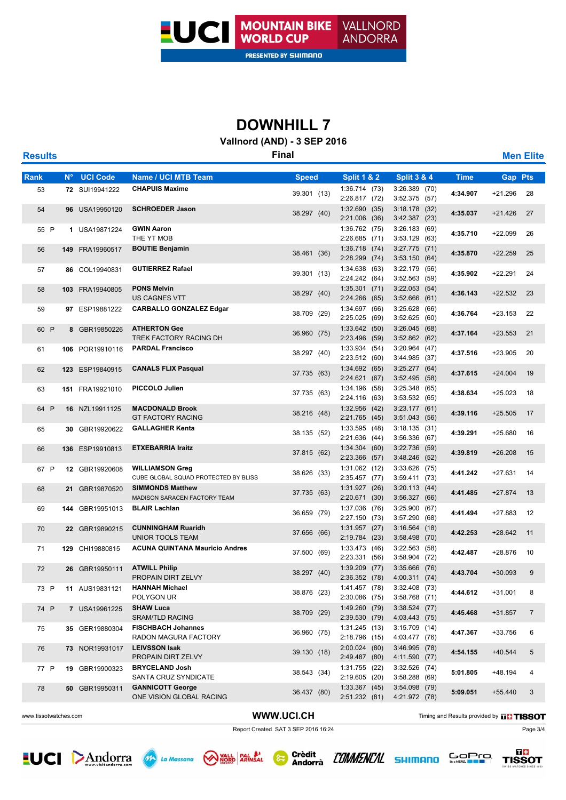

### **Vallnord (AND) - 3 SEP 2016**

| <b>Results</b> |             |                 |                                                                | <b>Final</b> |                                  |                                    |             |                | <b>Men Elite</b> |
|----------------|-------------|-----------------|----------------------------------------------------------------|--------------|----------------------------------|------------------------------------|-------------|----------------|------------------|
| Rank           | $N^{\circ}$ | <b>UCI Code</b> | <b>Name / UCI MTB Team</b>                                     | <b>Speed</b> | <b>Split 1 &amp; 2</b>           | <b>Split 3 &amp; 4</b>             | <b>Time</b> | <b>Gap Pts</b> |                  |
| 53             |             | 72 SUI19941222  | <b>CHAPUIS Maxime</b>                                          | 39.301 (13)  | 1:36.714(73)<br>2:26.817 (72)    | 3:26.389 (70)<br>3:52.375 (57)     | 4:34.907    | +21.296        | 28               |
| 54             |             | 96 USA19950120  | <b>SCHROEDER Jason</b>                                         | 38.297 (40)  | 1:32.690(35)<br>2:21.006 (36)    | 3:18.178(32)<br>3:42.387(23)       | 4:35.037    | $+21.426$      | 27               |
| 55 P           |             | 1 USA19871224   | <b>GWIN Aaron</b><br>THE YT MOB                                |              | 1:36.762(75)<br>2:26.685(71)     | 3:26.183 (69)<br>3:53.129(63)      | 4:35.710    | $+22.099$      | 26               |
| 56             |             | 149 FRA19960517 | <b>BOUTIE Benjamin</b>                                         | 38.461 (36)  | 1:36.718(74)<br>2:28.299 (74)    | $3:27.775$ (71)<br>3:53.150(64)    | 4:35.870    | $+22.259$      | 25               |
| 57             |             | 86 COL19940831  | <b>GUTIERREZ Rafael</b>                                        | 39.301 (13)  | 1:34.638(63)<br>2:24.242 (64)    | 3:22.179 (56)<br>$3:52.563$ (59)   | 4:35.902    | $+22.291$      | 24               |
| 58             |             | 103 FRA19940805 | <b>PONS Melvin</b><br>US CAGNES VTT                            | 38.297 (40)  | 1:35.301(71)<br>2:24.266 (65)    | $3:22.053$ (54)<br>$3:52.666$ (61) | 4:36.143    | $+22.532$      | 23               |
| 59             |             | 97 ESP19881222  | <b>CARBALLO GONZALEZ Edgar</b>                                 | 38.709 (29)  | 1:34.697 (66)<br>2:25.025 (69)   | 3:25.628 (66)<br>3:52.625(60)      | 4:36.764    | $+23.153$      | 22               |
| 60 P           |             | 8 GBR19850226   | <b>ATHERTON Gee</b><br>TREK FACTORY RACING DH                  | 36.960 (75)  | 1:33.642(50)<br>2:23.496 (59)    | 3:26.045(68)<br>$3:52.862$ (62)    | 4:37.164    | $+23.553$      | 21               |
| 61             |             | 106 POR19910116 | <b>PARDAL Francisco</b>                                        | 38.297 (40)  | 1:33.934 (54)<br>2:23.512 (60)   | 3:20.964 (47)<br>3:44.985 (37)     | 4:37.516    | +23.905        | 20               |
| 62             |             | 123 ESP19840915 | <b>CANALS FLIX Pasqual</b>                                     | 37.735 (63)  | 1:34.692(65)<br>2:24.621(67)     | 3:25.277(64)<br>3:52.495(58)       | 4:37.615    | $+24.004$      | 19               |
| 63             |             | 151 FRA19921010 | <b>PICCOLO Julien</b>                                          | 37.735 (63)  | 1:34.196(58)<br>2:24.116 (63)    | 3:25.348 (65)<br>3:53.532 (65)     | 4:38.634    | $+25.023$      | 18               |
| 64 P           |             | 16 NZL19911125  | <b>MACDONALD Brook</b><br><b>GT FACTORY RACING</b>             | 38.216 (48)  | 1:32.956(42)<br>2:21.765(45)     | 3:23.177(61)<br>3:51.043(56)       | 4:39.116    | $+25.505$      | 17               |
| 65             |             | 30 GBR19920622  | <b>GALLAGHER Kenta</b>                                         | 38.135 (52)  | 1:33.595(48)<br>2:21.636 (44)    | 3:18.135(31)<br>3:56.336 (67)      | 4:39.291    | +25.680        | 16               |
| 66             |             | 136 ESP19910813 | <b>ETXEBARRIA Iraitz</b>                                       | 37.815 (62)  | 1:34.304(60)<br>2:23.366 (57)    | $3:22.736$ (59)<br>3:48.246 (52)   | 4:39.819    | $+26.208$      | 15               |
| 67 P           |             | 12 GBR19920608  | <b>WILLIAMSON Greg</b><br>CUBE GLOBAL SQUAD PROTECTED BY BLISS | 38.626 (33)  | 1:31.062(12)<br>2:35.457 (77)    | 3:33.626 (75)<br>3:59.411 (73)     | 4:41.242    | $+27.631$      | 14               |
| 68             |             | 21 GBR19870520  | <b>SIMMONDS Matthew</b><br>MADISON SARACEN FACTORY TEAM        | 37.735 (63)  | 1:31.927(26)<br>2:20.671 (30)    | 3:20.113(44)<br>3:56.327(66)       | 4:41.485    | $+27.874$      | 13               |
| 69             |             | 144 GBR19951013 | <b>BLAIR Lachlan</b>                                           | 36.659 (79)  | 1:37.036 (76)<br>2:27.150 (73)   | 3:25.900 (67)<br>3:57.290(68)      | 4:41.494    | +27.883        | 12               |
| 70             |             | 22 GBR19890215  | <b>CUNNINGHAM Ruaridh</b><br>UNIOR TOOLS TEAM                  | 37.656 (66)  | 1:31.957(27)<br>2:19.784 (23)    | 3:16.564(18)<br>3:58.498 (70)      | 4:42.253    | $+28.642$      | 11               |
| 71             | 129         | CHI19880815     | <b>ACUNA QUINTANA Mauricio Andres</b>                          | 37.500 (69)  | 1:33.473(46)<br>2:23.331 (56)    | 3:22.563(58)<br>3:58.904 (72)      | 4:42.487    | +28.876        | 10               |
| 72             |             | 26 GBR19950111  | <b>ATWILL Philip</b><br>PROPAIN DIRT ZELVY                     | 38.297 (40)  | $1:39.209$ (77)<br>2:36.352 (78) | $3:35.666$ (76)<br>4:00.311 (74)   | 4:43.704    | $+30.093$      | 9                |
| 73 P           |             | 11 AUS19831121  | <b>HANNAH Michael</b><br>POLYGON UR                            | 38.876 (23)  | 1:41.457 (78)<br>2:30.086 (75)   | 3:32.408 (73)<br>3:58.768 (71)     | 4:44.612    | $+31.001$      | 8                |
| 74 P           |             | 7 USA19961225   | <b>SHAW Luca</b><br><b>SRAM/TLD RACING</b>                     | 38.709 (29)  | 1:49.260 (79)<br>2:39.530 (79)   | $3:38.524$ (77)<br>4:03.443 (75)   | 4:45.468    | +31.857        | 7                |
| 75             |             | 35 GER19880304  | <b>FISCHBACH Johannes</b><br>RADON MAGURA FACTORY              | 36.960 (75)  | 1:31.245(13)<br>2:18.796 (15)    | $3:15.709$ (14)<br>4:03.477 (76)   | 4:47.367    | $+33.756$      | 6                |
| 76             |             | 73 NOR19931017  | <b>LEIVSSON Isak</b><br>PROPAIN DIRT ZELVY                     | 39.130 (18)  | 2:00.024 (80)<br>2:49.487 (80)   | 3:46.995 (78)<br>4:11.590 (77)     | 4:54.155    | $+40.544$      | 5                |
| 77 P           |             | 19 GBR19900323  | <b>BRYCELAND Josh</b><br>SANTA CRUZ SYNDICATE                  | 38.543 (34)  | 1:31.755(22)<br>2:19.605 (20)    | 3:32.526 (74)<br>3:58.288 (69)     | 5:01.805    | +48.194        | 4                |
| 78             |             | 50 GBR19950311  | <b>GANNICOTT George</b><br>ONE VISION GLOBAL RACING            | 36.437 (80)  | $1:33.367$ (45)<br>2:51.232 (81) | 3:54.098 (79)<br>4:21.972 (78)     | 5:09.051    | $+55.440$      | 3                |
|                |             |                 |                                                                |              |                                  |                                    |             |                |                  |

**E** 

WWW.UCI.CH Timing and Results provided by **The TISSOT** 

Report Created SAT 3 SEP 2016 16:24 Page 3/4





Crèdit<br>Andorrà COMMENCAL SHIMANO